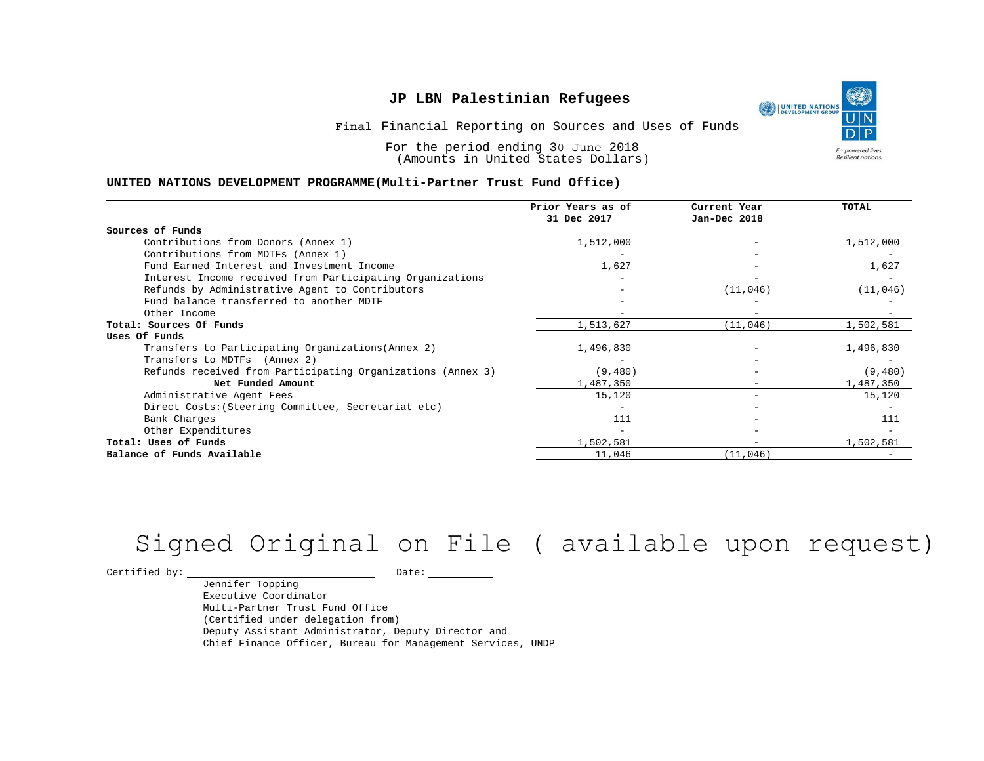**Final** Financial Reporting on Sources and Uses of Funds

For the period ending 30 June 2018 (Amounts in United States Dollars)

#### **UNITED NATIONS DEVELOPMENT PROGRAMME(Multi-Partner Trust Fund Office)**

|                                                             | Prior Years as of<br>31 Dec 2017 | Current Year<br>Jan-Dec 2018 | <b>TOTAL</b> |
|-------------------------------------------------------------|----------------------------------|------------------------------|--------------|
|                                                             |                                  |                              |              |
| Sources of Funds                                            |                                  |                              |              |
| Contributions from Donors (Annex 1)                         | 1,512,000                        | $\qquad \qquad -$            | 1,512,000    |
| Contributions from MDTFs (Annex 1)                          |                                  |                              |              |
| Fund Earned Interest and Investment Income                  | 1,627                            |                              | 1,627        |
| Interest Income received from Participating Organizations   |                                  |                              |              |
| Refunds by Administrative Agent to Contributors             |                                  | (11, 046)                    | (11, 046)    |
| Fund balance transferred to another MDTF                    |                                  |                              |              |
| Other Income                                                |                                  | $\overline{\phantom{0}}$     |              |
| Total: Sources Of Funds                                     | 1,513,627                        | (11, 046)                    | 1,502,581    |
| Uses Of Funds                                               |                                  |                              |              |
| Transfers to Participating Organizations (Annex 2)          | 1,496,830                        |                              | 1,496,830    |
| Transfers to MDTFs (Annex 2)                                |                                  |                              |              |
| Refunds received from Participating Organizations (Annex 3) | (9, 480)                         | -                            | (9, 480)     |
| Net Funded Amount                                           | 1,487,350                        |                              | 1,487,350    |
| Administrative Agent Fees                                   | 15,120                           | -                            | 15,120       |
| Direct Costs: (Steering Committee, Secretariat etc)         |                                  |                              |              |
| Bank Charges                                                | 111                              |                              | 111          |
| Other Expenditures                                          |                                  | $-$                          |              |
| Total: Uses of Funds                                        | 1,502,581                        | -                            | 1,502,581    |
| Balance of Funds Available                                  | 11,046                           | (11,046)                     |              |

# Signed Original on File ( available upon request)

 $\begin{tabular}{c} \multicolumn{2}{c}{{\bf \texttt{Certified by:}}}} \quad \quad \texttt{Date:} \end{tabular}$ 

Jennifer Topping Executive Coordinator Multi-Partner Trust Fund Office (Certified under delegation from) Deputy Assistant Administrator, Deputy Director and Chief Finance Officer, Bureau for Management Services, UNDP

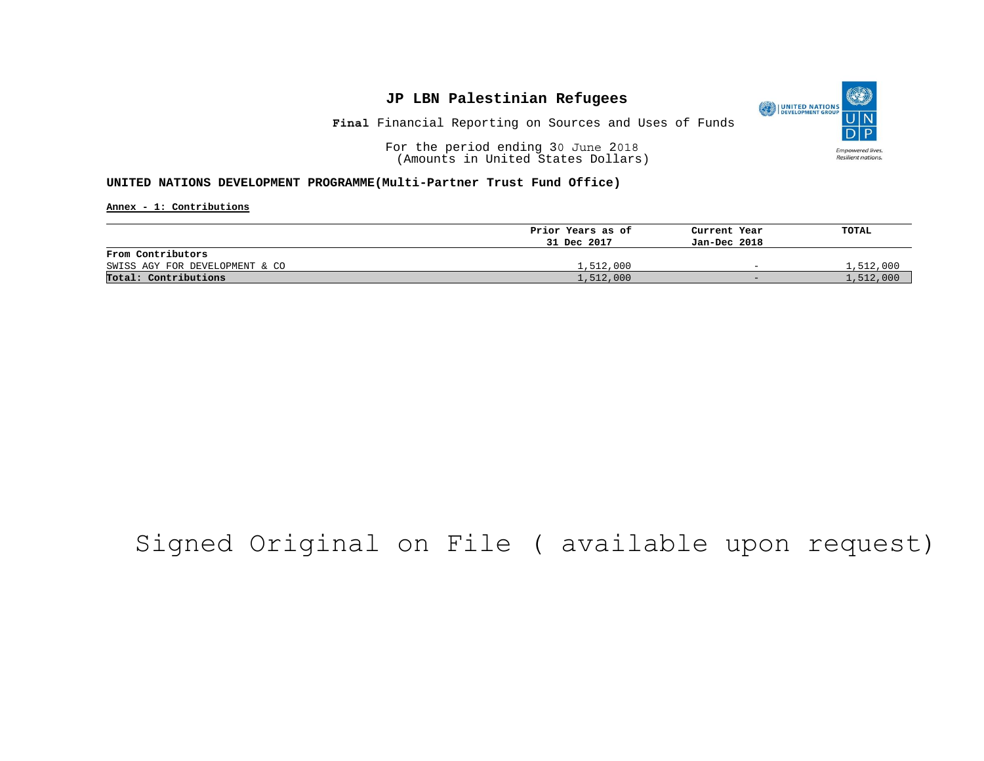

**Final** Financial Reporting on Sources and Uses of Funds

For the period ending 30 June 2018 (Amounts in United States Dollars)

#### **UNITED NATIONS DEVELOPMENT PROGRAMME(Multi-Partner Trust Fund Office)**

**Annex - 1: Contributions**

|                                | Prior Years as of | Current Year             | TOTAL     |
|--------------------------------|-------------------|--------------------------|-----------|
|                                | 31 Dec 2017       | Jan-Dec 2018             |           |
| From Contributors              |                   |                          |           |
| SWISS AGY FOR DEVELOPMENT & CO | 1,512,000         | $\overline{\phantom{0}}$ | 1,512,000 |
| Total: Contributions           | 1,512,000         | $-$                      | 1,512,000 |

## Signed Original on File ( available upon request)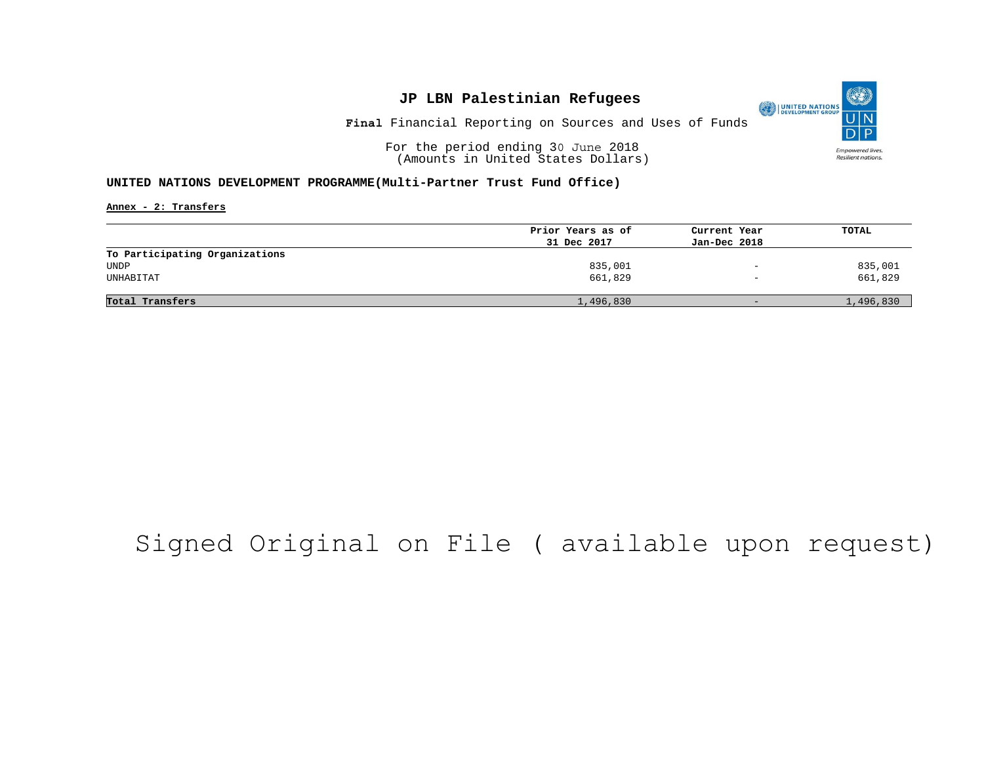O UNITED NATIONS **Empowered lives** Resilient nations.

**Final** Financial Reporting on Sources and Uses of Funds

For the period ending 30 June 2018 (Amounts in United States Dollars)

#### **UNITED NATIONS DEVELOPMENT PROGRAMME(Multi-Partner Trust Fund Office)**

**Annex - 2: Transfers**

|                                | Prior Years as of | Current Year             | TOTAL     |
|--------------------------------|-------------------|--------------------------|-----------|
|                                | 31 Dec 2017       | Jan-Dec 2018             |           |
| To Participating Organizations |                   |                          |           |
| UNDP                           | 835,001           | $\overline{\phantom{0}}$ | 835,001   |
| UNHABITAT                      | 661,829           | $\qquad \qquad -$        | 661,829   |
|                                |                   |                          |           |
| Total Transfers                | 1,496,830         | $-$                      | 1,496,830 |

## Signed Original on File ( available upon request)